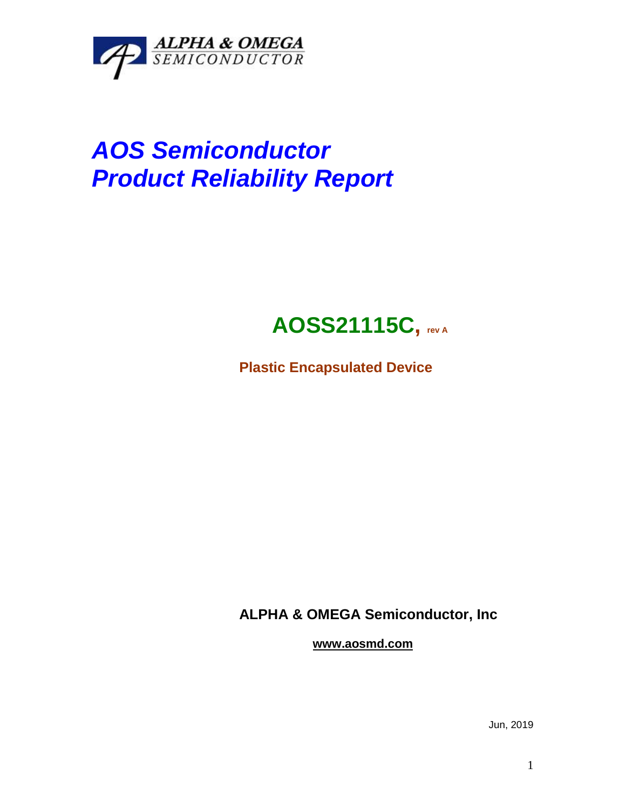

# *AOS Semiconductor Product Reliability Report*

## **AOSS21115C, rev <sup>A</sup>**

**Plastic Encapsulated Device**

**ALPHA & OMEGA Semiconductor, Inc**

**www.aosmd.com**

Jun, 2019